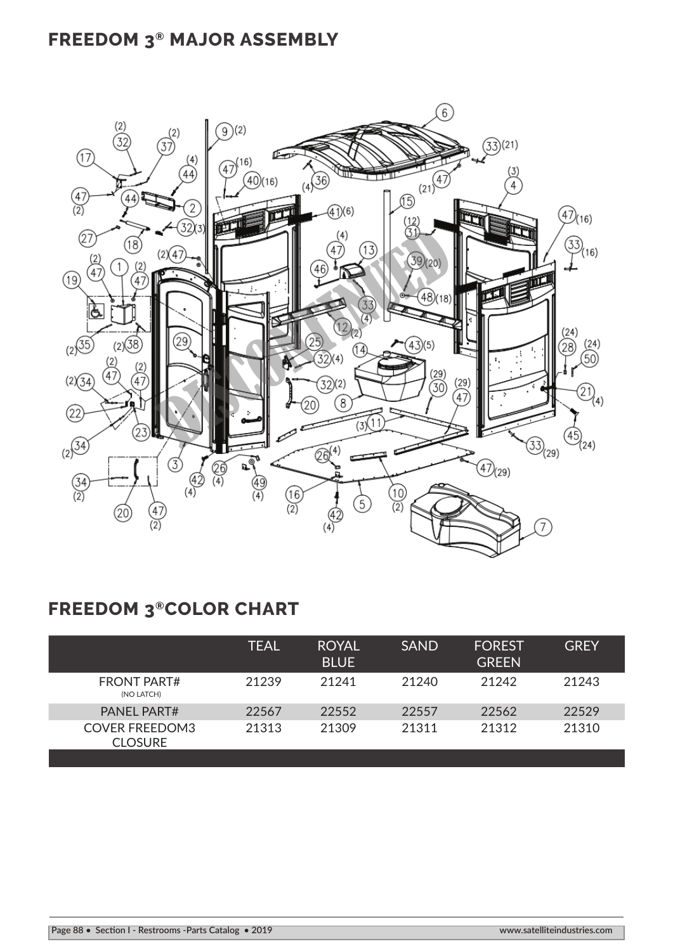## **FREEDOM 3® MAJOR ASSEMBLY**



## **FREEDOM 3®COLOR CHART**

|                                         | TEAL  | <b>ROYAL</b><br><b>BLUE</b> | <b>SAND</b> | <b>FOREST</b><br><b>GREEN</b> | <b>GREY</b> |
|-----------------------------------------|-------|-----------------------------|-------------|-------------------------------|-------------|
| <b>FRONT PART#</b><br>(NO LATCH)        | 21239 | 21241                       | 21240       | 21242                         | 21243       |
| <b>PANEL PART#</b>                      | 22567 | 22552                       | 22557       | 22562                         | 22529       |
| <b>COVER FREEDOM3</b><br><b>CLOSURE</b> | 21313 | 21309                       | 21311       | 21312                         | 21310       |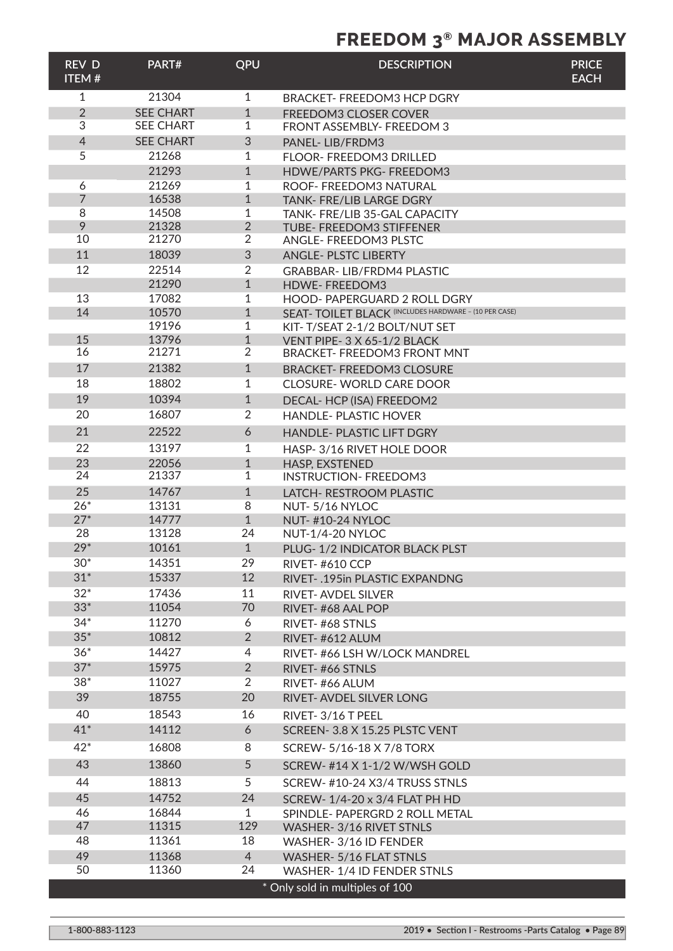## **FREEDOM 3® MAJOR ASSEMBLY**

| <b>REV D</b><br><b>ITEM#</b> | PART#                                | QPU                            | <b>DESCRIPTION</b>                                                | <b>PRICE</b><br><b>EACH</b> |
|------------------------------|--------------------------------------|--------------------------------|-------------------------------------------------------------------|-----------------------------|
| $\mathbf{1}$                 | 21304                                | $\mathbf{1}$                   | <b>BRACKET- FREEDOM3 HCP DGRY</b>                                 |                             |
| $\overline{2}$<br>3          | <b>SEE CHART</b><br><b>SEE CHART</b> | $\mathbf{1}$<br>$\mathbf{1}$   | FREEDOM3 CLOSER COVER<br>FRONT ASSEMBLY- FREEDOM 3                |                             |
| $\overline{4}$               | <b>SEE CHART</b>                     | 3                              | PANEL-LIB/FRDM3                                                   |                             |
| 5                            | 21268                                | 1                              | FLOOR- FREEDOM3 DRILLED                                           |                             |
|                              | 21293                                | $\mathbf{1}$                   | <b>HDWE/PARTS PKG- FREEDOM3</b>                                   |                             |
| 6                            | 21269                                | 1                              | ROOF- FREEDOM3 NATURAL                                            |                             |
| $\overline{7}$               | 16538                                | $\mathbf{1}$                   | TANK- FRE/LIB LARGE DGRY                                          |                             |
| 8<br>9                       | 14508<br>21328                       | 1<br>$\overline{2}$            | TANK- FRE/LIB 35-GAL CAPACITY<br>TUBE- FREEDOM3 STIFFENER         |                             |
| 10                           | 21270                                | $\overline{2}$                 | ANGLE- FREEDOM3 PLSTC                                             |                             |
| 11                           | 18039                                | $\ensuremath{\mathsf{3}}$      | <b>ANGLE- PLSTC LIBERTY</b>                                       |                             |
| 12                           | 22514                                | $\overline{2}$                 | <b>GRABBAR-LIB/FRDM4 PLASTIC</b>                                  |                             |
|                              | 21290                                | $\mathbf{1}$                   | HDWE-FREEDOM3                                                     |                             |
| 13                           | 17082                                | 1                              | HOOD- PAPERGUARD 2 ROLL DGRY                                      |                             |
| 14                           | 10570                                | $\mathbf{1}$                   | SEAT- TOILET BLACK (INCLUDES HARDWARE - (10 PER CASE)             |                             |
|                              | 19196                                | $\mathbf{1}$                   | KIT-T/SEAT 2-1/2 BOLT/NUT SET                                     |                             |
| 15<br>16                     | 13796<br>21271                       | $\mathbf{1}$<br>$\overline{2}$ | VENT PIPE- 3 X 65-1/2 BLACK<br><b>BRACKET- FREEDOM3 FRONT MNT</b> |                             |
| 17                           | 21382                                | $\mathbf{1}$                   | <b>BRACKET- FREEDOM3 CLOSURE</b>                                  |                             |
| 18                           | 18802                                | 1                              | <b>CLOSURE-WORLD CARE DOOR</b>                                    |                             |
| 19                           | 10394                                | $\mathbf{1}$                   | DECAL- HCP (ISA) FREEDOM2                                         |                             |
| 20                           | 16807                                | $\overline{2}$                 | <b>HANDLE-PLASTIC HOVER</b>                                       |                             |
| 21                           | 22522                                | 6                              |                                                                   |                             |
| 22                           | 13197                                |                                | <b>HANDLE- PLASTIC LIFT DGRY</b>                                  |                             |
| 23                           | 22056                                | 1<br>$\mathbf{1}$              | HASP-3/16 RIVET HOLE DOOR<br>HASP, EXSTENED                       |                             |
| 24                           | 21337                                | 1                              | <b>INSTRUCTION- FREEDOM3</b>                                      |                             |
| 25                           | 14767                                | $\mathbf{1}$                   | LATCH- RESTROOM PLASTIC                                           |                             |
| $26*$                        | 13131                                | 8                              | NUT-5/16 NYLOC                                                    |                             |
| $27*$                        | 14777                                | $\mathbf{1}$                   | <b>NUT-#10-24 NYLOC</b>                                           |                             |
| 28                           | 13128                                | 24                             | NUT-1/4-20 NYLOC                                                  |                             |
| $29*$                        | 10161                                | $\mathbf{1}$                   | PLUG-1/2 INDICATOR BLACK PLST                                     |                             |
| $30*$<br>$31*$               | 14351<br>15337                       | 29<br>12                       | <b>RIVET-#610 CCP</b>                                             |                             |
| $32*$                        | 17436                                | 11                             | RIVET-.195in PLASTIC EXPANDNG                                     |                             |
| $33*$                        | 11054                                | 70                             | <b>RIVET-AVDEL SILVER</b><br>RIVET-#68 AAL POP                    |                             |
| $34*$                        | 11270                                | 6                              | RIVET-#68 STNLS                                                   |                             |
| $35*$                        | 10812                                | $\overline{2}$                 | RIVET-#612 ALUM                                                   |                             |
| $36*$                        | 14427                                | 4                              | RIVET-#66 LSH W/LOCK MANDREL                                      |                             |
| $37*$                        | 15975                                | $\overline{2}$                 | RIVET-#66 STNLS                                                   |                             |
| $38*$                        | 11027                                | $\overline{2}$                 | RIVET-#66 ALUM                                                    |                             |
| 39                           | 18755                                | 20                             | RIVET-AVDEL SILVER LONG                                           |                             |
| 40                           | 18543                                | 16                             | RIVET-3/16 T PEEL                                                 |                             |
| $41*$                        | 14112                                | 6                              | SCREEN- 3.8 X 15.25 PLSTC VENT                                    |                             |
| $42*$                        | 16808                                | 8                              | SCREW- 5/16-18 X 7/8 TORX                                         |                             |
| 43                           | 13860                                | 5                              | SCREW- #14 X 1-1/2 W/WSH GOLD                                     |                             |
| 44                           | 18813                                | 5                              | SCREW-#10-24 X3/4 TRUSS STNLS                                     |                             |
| 45                           | 14752                                | 24                             | SCREW-1/4-20 x 3/4 FLAT PH HD                                     |                             |
| 46                           | 16844                                | $\mathbf{1}$                   | SPINDLE-PAPERGRD 2 ROLL METAL                                     |                             |
| 47                           | 11315                                | 129                            | WASHER-3/16 RIVET STNLS                                           |                             |
| 48                           | 11361                                | 18                             | WASHER-3/16 ID FENDER                                             |                             |
| 49                           | 11368                                | $\overline{4}$                 | WASHER- 5/16 FLAT STNLS                                           |                             |
| 50                           | 11360                                | 24                             | WASHER-1/4 ID FENDER STNLS                                        |                             |
|                              |                                      |                                | * Only sold in multiples of 100                                   |                             |